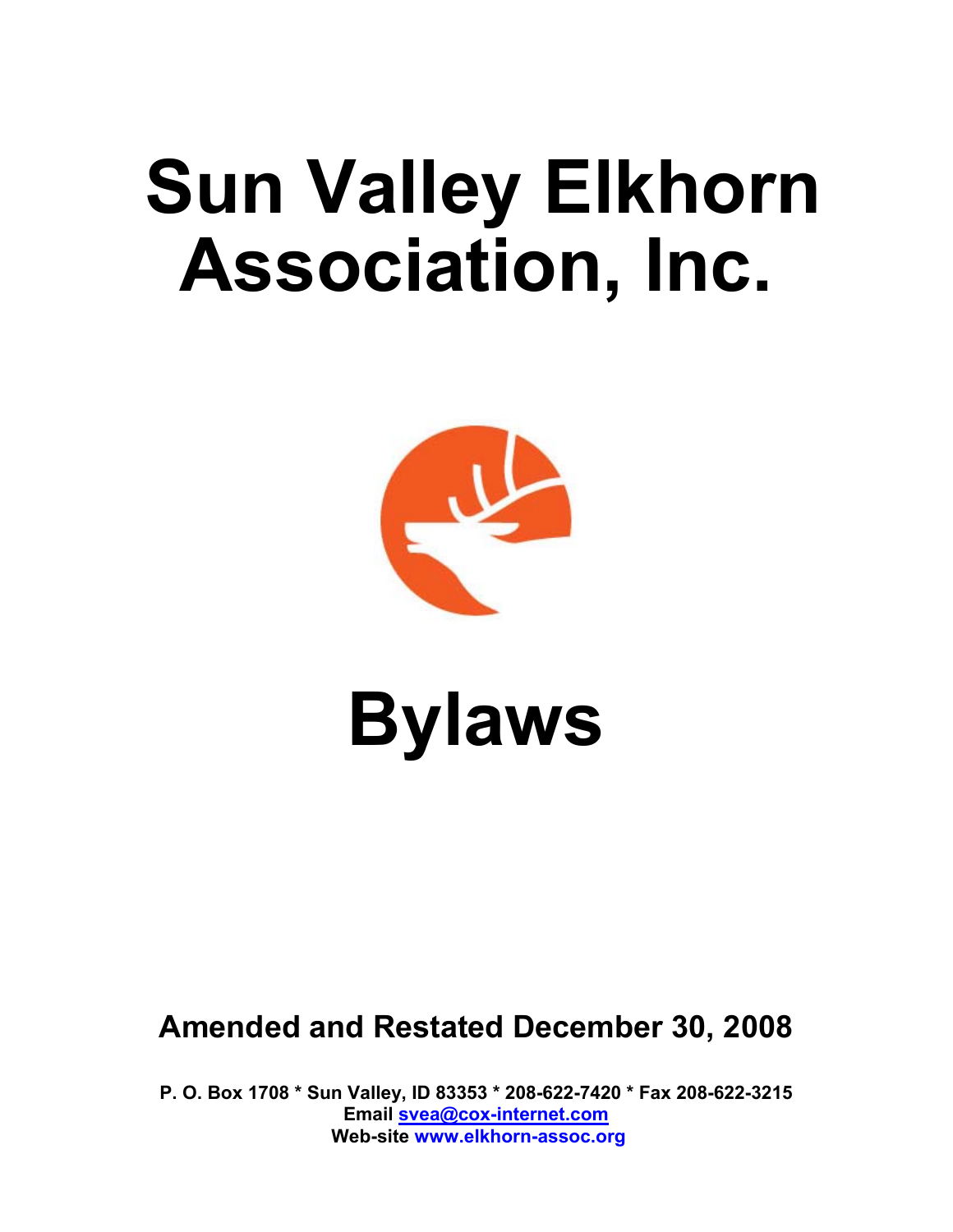# **Sun Valley Elkhorn Association, Inc.**



# **Bylaws**

# **Amended and Restated December 30, 2008**

**P. O. Box 1708 \* Sun Valley, ID 83353 \* 208-622-7420 \* Fax 208-622-3215 Email svea@cox-internet.com Web-site www.elkhorn-assoc.org**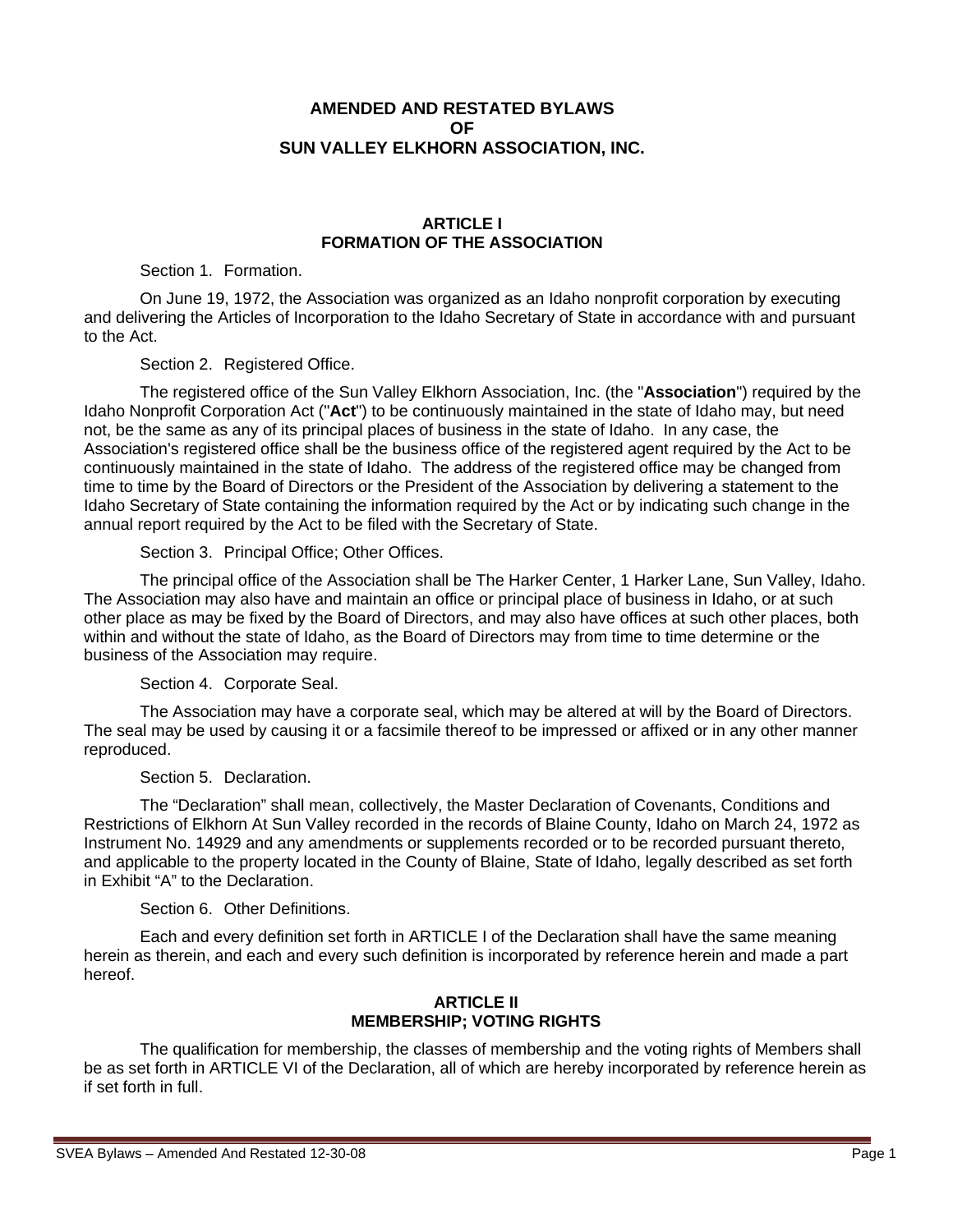# **AMENDED AND RESTATED BYLAWS OF SUN VALLEY ELKHORN ASSOCIATION, INC.**

#### **ARTICLE I FORMATION OF THE ASSOCIATION**

Section 1. Formation.

On June 19, 1972, the Association was organized as an Idaho nonprofit corporation by executing and delivering the Articles of Incorporation to the Idaho Secretary of State in accordance with and pursuant to the Act.

Section 2. Registered Office.

The registered office of the Sun Valley Elkhorn Association, Inc. (the "**Association**") required by the Idaho Nonprofit Corporation Act ("**Act**") to be continuously maintained in the state of Idaho may, but need not, be the same as any of its principal places of business in the state of Idaho. In any case, the Association's registered office shall be the business office of the registered agent required by the Act to be continuously maintained in the state of Idaho. The address of the registered office may be changed from time to time by the Board of Directors or the President of the Association by delivering a statement to the Idaho Secretary of State containing the information required by the Act or by indicating such change in the annual report required by the Act to be filed with the Secretary of State.

Section 3. Principal Office; Other Offices.

The principal office of the Association shall be The Harker Center, 1 Harker Lane, Sun Valley, Idaho. The Association may also have and maintain an office or principal place of business in Idaho, or at such other place as may be fixed by the Board of Directors, and may also have offices at such other places, both within and without the state of Idaho, as the Board of Directors may from time to time determine or the business of the Association may require.

Section 4. Corporate Seal.

The Association may have a corporate seal, which may be altered at will by the Board of Directors. The seal may be used by causing it or a facsimile thereof to be impressed or affixed or in any other manner reproduced.

Section 5. Declaration.

The "Declaration" shall mean, collectively, the Master Declaration of Covenants, Conditions and Restrictions of Elkhorn At Sun Valley recorded in the records of Blaine County, Idaho on March 24, 1972 as Instrument No. 14929 and any amendments or supplements recorded or to be recorded pursuant thereto, and applicable to the property located in the County of Blaine, State of Idaho, legally described as set forth in Exhibit "A" to the Declaration.

Section 6. Other Definitions.

Each and every definition set forth in ARTICLE I of the Declaration shall have the same meaning herein as therein, and each and every such definition is incorporated by reference herein and made a part hereof.

# **ARTICLE II MEMBERSHIP; VOTING RIGHTS**

The qualification for membership, the classes of membership and the voting rights of Members shall be as set forth in ARTICLE VI of the Declaration, all of which are hereby incorporated by reference herein as if set forth in full.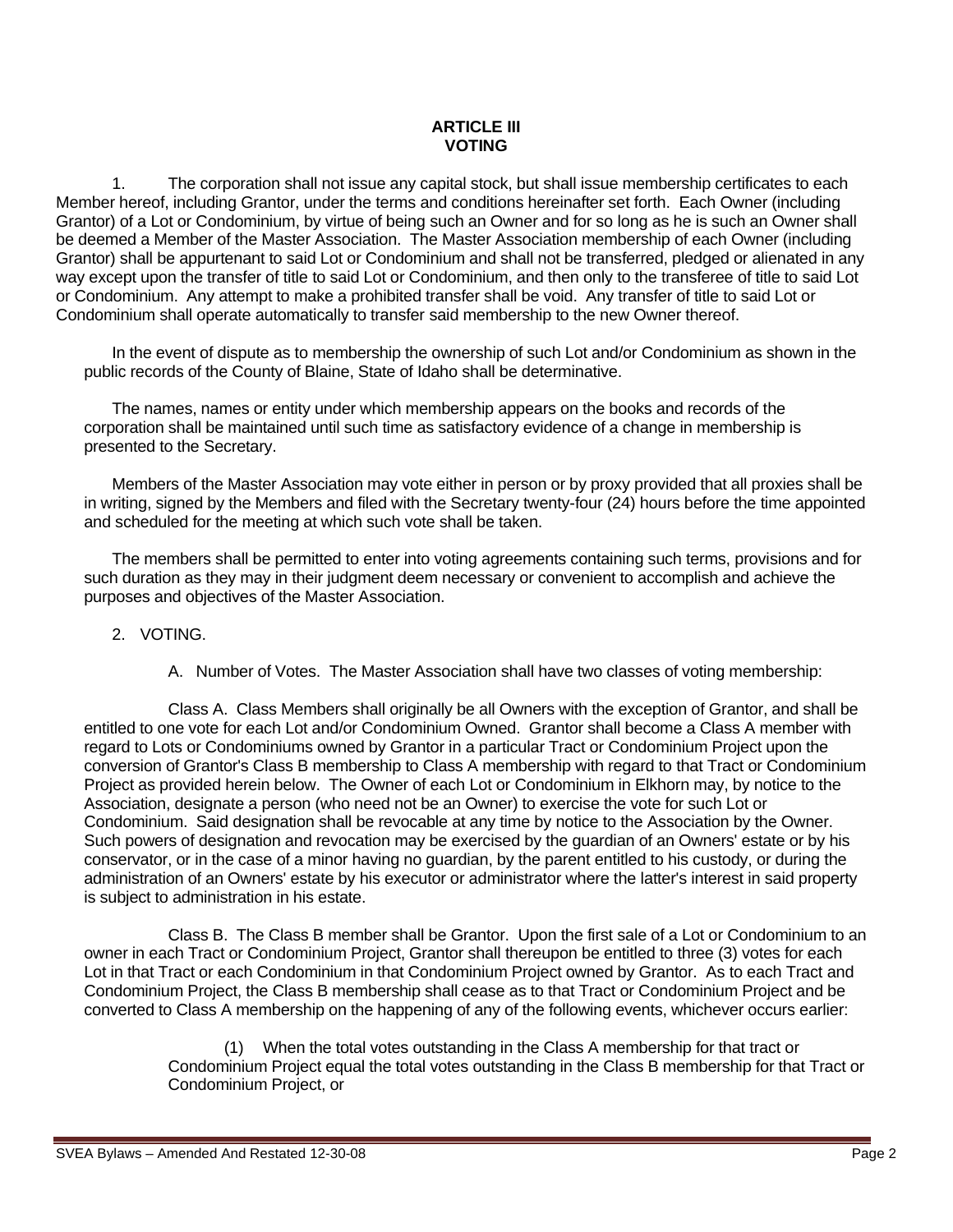### **ARTICLE III VOTING**

1. The corporation shall not issue any capital stock, but shall issue membership certificates to each Member hereof, including Grantor, under the terms and conditions hereinafter set forth. Each Owner (including Grantor) of a Lot or Condominium, by virtue of being such an Owner and for so long as he is such an Owner shall be deemed a Member of the Master Association. The Master Association membership of each Owner (including Grantor) shall be appurtenant to said Lot or Condominium and shall not be transferred, pledged or alienated in any way except upon the transfer of title to said Lot or Condominium, and then only to the transferee of title to said Lot or Condominium. Any attempt to make a prohibited transfer shall be void. Any transfer of title to said Lot or Condominium shall operate automatically to transfer said membership to the new Owner thereof.

In the event of dispute as to membership the ownership of such Lot and/or Condominium as shown in the public records of the County of Blaine, State of Idaho shall be determinative.

The names, names or entity under which membership appears on the books and records of the corporation shall be maintained until such time as satisfactory evidence of a change in membership is presented to the Secretary.

Members of the Master Association may vote either in person or by proxy provided that all proxies shall be in writing, signed by the Members and filed with the Secretary twenty-four (24) hours before the time appointed and scheduled for the meeting at which such vote shall be taken.

The members shall be permitted to enter into voting agreements containing such terms, provisions and for such duration as they may in their judgment deem necessary or convenient to accomplish and achieve the purposes and objectives of the Master Association.

#### 2. VOTING.

A. Number of Votes. The Master Association shall have two classes of voting membership:

Class A. Class Members shall originally be all Owners with the exception of Grantor, and shall be entitled to one vote for each Lot and/or Condominium Owned. Grantor shall become a Class A member with regard to Lots or Condominiums owned by Grantor in a particular Tract or Condominium Project upon the conversion of Grantor's Class B membership to Class A membership with regard to that Tract or Condominium Project as provided herein below. The Owner of each Lot or Condominium in Elkhorn may, by notice to the Association, designate a person (who need not be an Owner) to exercise the vote for such Lot or Condominium. Said designation shall be revocable at any time by notice to the Association by the Owner. Such powers of designation and revocation may be exercised by the guardian of an Owners' estate or by his conservator, or in the case of a minor having no guardian, by the parent entitled to his custody, or during the administration of an Owners' estate by his executor or administrator where the latter's interest in said property is subject to administration in his estate.

Class B. The Class B member shall be Grantor. Upon the first sale of a Lot or Condominium to an owner in each Tract or Condominium Project, Grantor shall thereupon be entitled to three (3) votes for each Lot in that Tract or each Condominium in that Condominium Project owned by Grantor. As to each Tract and Condominium Project, the Class B membership shall cease as to that Tract or Condominium Project and be converted to Class A membership on the happening of any of the following events, whichever occurs earlier:

> (1) When the total votes outstanding in the Class A membership for that tract or Condominium Project equal the total votes outstanding in the Class B membership for that Tract or Condominium Project, or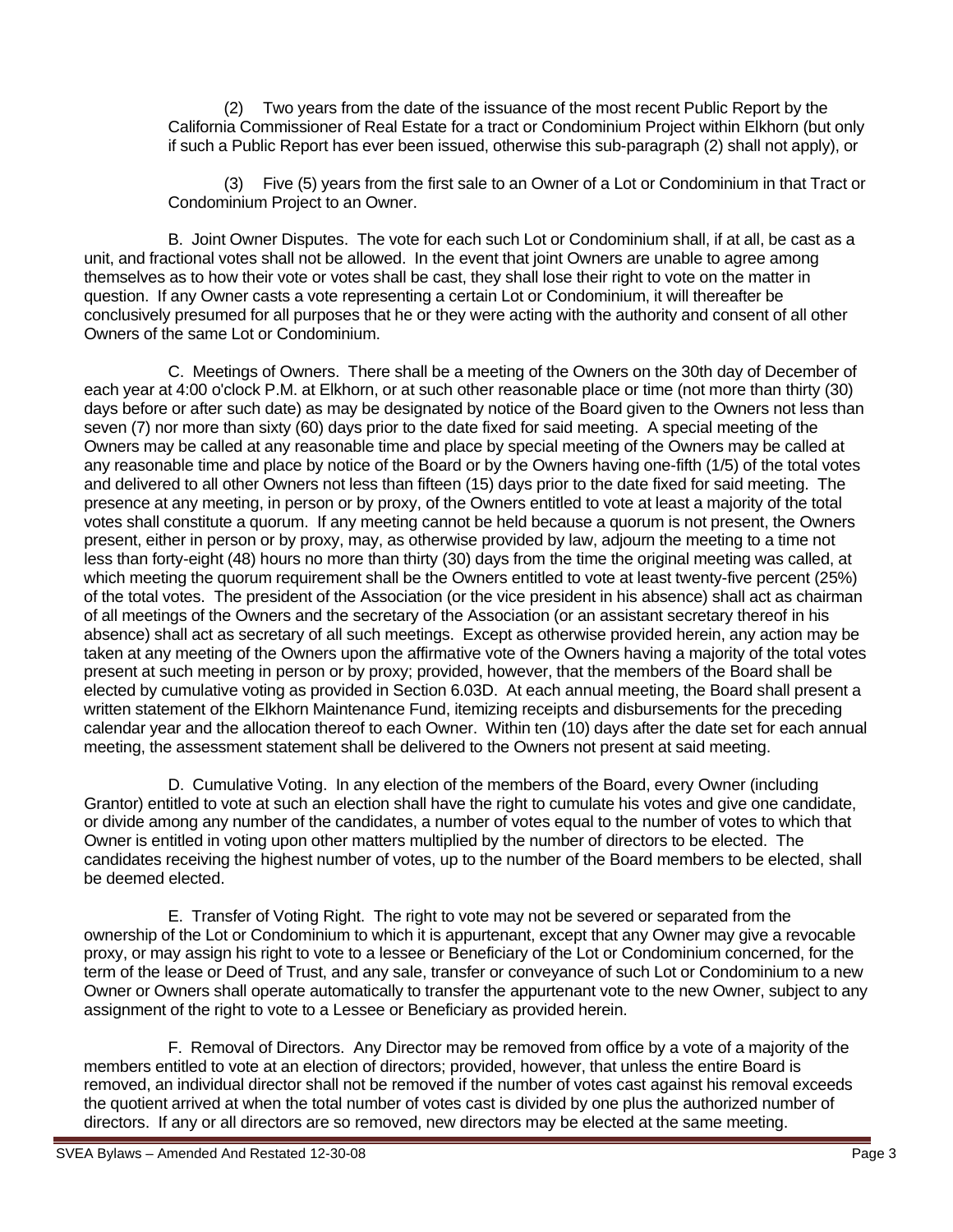(2) Two years from the date of the issuance of the most recent Public Report by the California Commissioner of Real Estate for a tract or Condominium Project within Elkhorn (but only if such a Public Report has ever been issued, otherwise this sub-paragraph (2) shall not apply), or

(3) Five (5) years from the first sale to an Owner of a Lot or Condominium in that Tract or Condominium Project to an Owner.

B. Joint Owner Disputes. The vote for each such Lot or Condominium shall, if at all, be cast as a unit, and fractional votes shall not be allowed. In the event that joint Owners are unable to agree among themselves as to how their vote or votes shall be cast, they shall lose their right to vote on the matter in question. If any Owner casts a vote representing a certain Lot or Condominium, it will thereafter be conclusively presumed for all purposes that he or they were acting with the authority and consent of all other Owners of the same Lot or Condominium.

 C. Meetings of Owners. There shall be a meeting of the Owners on the 30th day of December of each year at 4:00 o'clock P.M. at Elkhorn, or at such other reasonable place or time (not more than thirty (30) days before or after such date) as may be designated by notice of the Board given to the Owners not less than seven (7) nor more than sixty (60) days prior to the date fixed for said meeting. A special meeting of the Owners may be called at any reasonable time and place by special meeting of the Owners may be called at any reasonable time and place by notice of the Board or by the Owners having one-fifth (1/5) of the total votes and delivered to all other Owners not less than fifteen (15) days prior to the date fixed for said meeting. The presence at any meeting, in person or by proxy, of the Owners entitled to vote at least a majority of the total votes shall constitute a quorum. If any meeting cannot be held because a quorum is not present, the Owners present, either in person or by proxy, may, as otherwise provided by law, adjourn the meeting to a time not less than forty-eight (48) hours no more than thirty (30) days from the time the original meeting was called, at which meeting the quorum requirement shall be the Owners entitled to vote at least twenty-five percent (25%) of the total votes. The president of the Association (or the vice president in his absence) shall act as chairman of all meetings of the Owners and the secretary of the Association (or an assistant secretary thereof in his absence) shall act as secretary of all such meetings. Except as otherwise provided herein, any action may be taken at any meeting of the Owners upon the affirmative vote of the Owners having a majority of the total votes present at such meeting in person or by proxy; provided, however, that the members of the Board shall be elected by cumulative voting as provided in Section 6.03D. At each annual meeting, the Board shall present a written statement of the Elkhorn Maintenance Fund, itemizing receipts and disbursements for the preceding calendar year and the allocation thereof to each Owner. Within ten (10) days after the date set for each annual meeting, the assessment statement shall be delivered to the Owners not present at said meeting.

D. Cumulative Voting. In any election of the members of the Board, every Owner (including Grantor) entitled to vote at such an election shall have the right to cumulate his votes and give one candidate, or divide among any number of the candidates, a number of votes equal to the number of votes to which that Owner is entitled in voting upon other matters multiplied by the number of directors to be elected. The candidates receiving the highest number of votes, up to the number of the Board members to be elected, shall be deemed elected.

E. Transfer of Voting Right. The right to vote may not be severed or separated from the ownership of the Lot or Condominium to which it is appurtenant, except that any Owner may give a revocable proxy, or may assign his right to vote to a lessee or Beneficiary of the Lot or Condominium concerned, for the term of the lease or Deed of Trust, and any sale, transfer or conveyance of such Lot or Condominium to a new Owner or Owners shall operate automatically to transfer the appurtenant vote to the new Owner, subject to any assignment of the right to vote to a Lessee or Beneficiary as provided herein.

F. Removal of Directors. Any Director may be removed from office by a vote of a majority of the members entitled to vote at an election of directors; provided, however, that unless the entire Board is removed, an individual director shall not be removed if the number of votes cast against his removal exceeds the quotient arrived at when the total number of votes cast is divided by one plus the authorized number of directors. If any or all directors are so removed, new directors may be elected at the same meeting.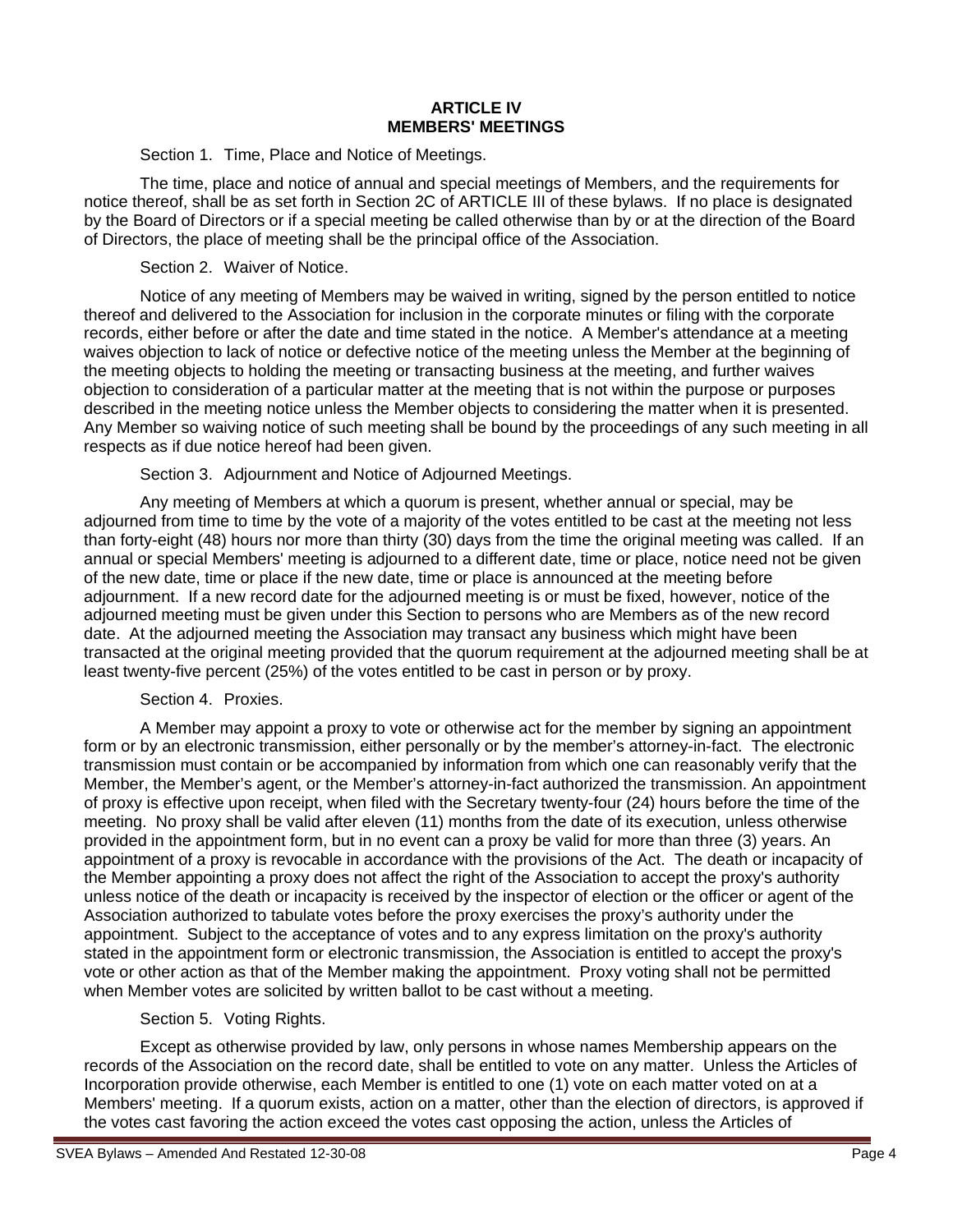#### **ARTICLE IV MEMBERS' MEETINGS**

Section 1. Time, Place and Notice of Meetings.

The time, place and notice of annual and special meetings of Members, and the requirements for notice thereof, shall be as set forth in Section 2C of ARTICLE III of these bylaws. If no place is designated by the Board of Directors or if a special meeting be called otherwise than by or at the direction of the Board of Directors, the place of meeting shall be the principal office of the Association.

### Section 2. Waiver of Notice.

Notice of any meeting of Members may be waived in writing, signed by the person entitled to notice thereof and delivered to the Association for inclusion in the corporate minutes or filing with the corporate records, either before or after the date and time stated in the notice. A Member's attendance at a meeting waives objection to lack of notice or defective notice of the meeting unless the Member at the beginning of the meeting objects to holding the meeting or transacting business at the meeting, and further waives objection to consideration of a particular matter at the meeting that is not within the purpose or purposes described in the meeting notice unless the Member objects to considering the matter when it is presented. Any Member so waiving notice of such meeting shall be bound by the proceedings of any such meeting in all respects as if due notice hereof had been given.

Section 3. Adjournment and Notice of Adjourned Meetings.

Any meeting of Members at which a quorum is present, whether annual or special, may be adjourned from time to time by the vote of a majority of the votes entitled to be cast at the meeting not less than forty-eight (48) hours nor more than thirty (30) days from the time the original meeting was called. If an annual or special Members' meeting is adjourned to a different date, time or place, notice need not be given of the new date, time or place if the new date, time or place is announced at the meeting before adjournment. If a new record date for the adjourned meeting is or must be fixed, however, notice of the adjourned meeting must be given under this Section to persons who are Members as of the new record date. At the adjourned meeting the Association may transact any business which might have been transacted at the original meeting provided that the quorum requirement at the adjourned meeting shall be at least twenty-five percent (25%) of the votes entitled to be cast in person or by proxy.

# Section 4. Proxies.

A Member may appoint a proxy to vote or otherwise act for the member by signing an appointment form or by an electronic transmission, either personally or by the member's attorney-in-fact. The electronic transmission must contain or be accompanied by information from which one can reasonably verify that the Member, the Member's agent, or the Member's attorney-in-fact authorized the transmission. An appointment of proxy is effective upon receipt, when filed with the Secretary twenty-four (24) hours before the time of the meeting. No proxy shall be valid after eleven (11) months from the date of its execution, unless otherwise provided in the appointment form, but in no event can a proxy be valid for more than three (3) years. An appointment of a proxy is revocable in accordance with the provisions of the Act. The death or incapacity of the Member appointing a proxy does not affect the right of the Association to accept the proxy's authority unless notice of the death or incapacity is received by the inspector of election or the officer or agent of the Association authorized to tabulate votes before the proxy exercises the proxy's authority under the appointment. Subject to the acceptance of votes and to any express limitation on the proxy's authority stated in the appointment form or electronic transmission, the Association is entitled to accept the proxy's vote or other action as that of the Member making the appointment. Proxy voting shall not be permitted when Member votes are solicited by written ballot to be cast without a meeting.

# Section 5. Voting Rights.

Except as otherwise provided by law, only persons in whose names Membership appears on the records of the Association on the record date, shall be entitled to vote on any matter. Unless the Articles of Incorporation provide otherwise, each Member is entitled to one (1) vote on each matter voted on at a Members' meeting. If a quorum exists, action on a matter, other than the election of directors, is approved if the votes cast favoring the action exceed the votes cast opposing the action, unless the Articles of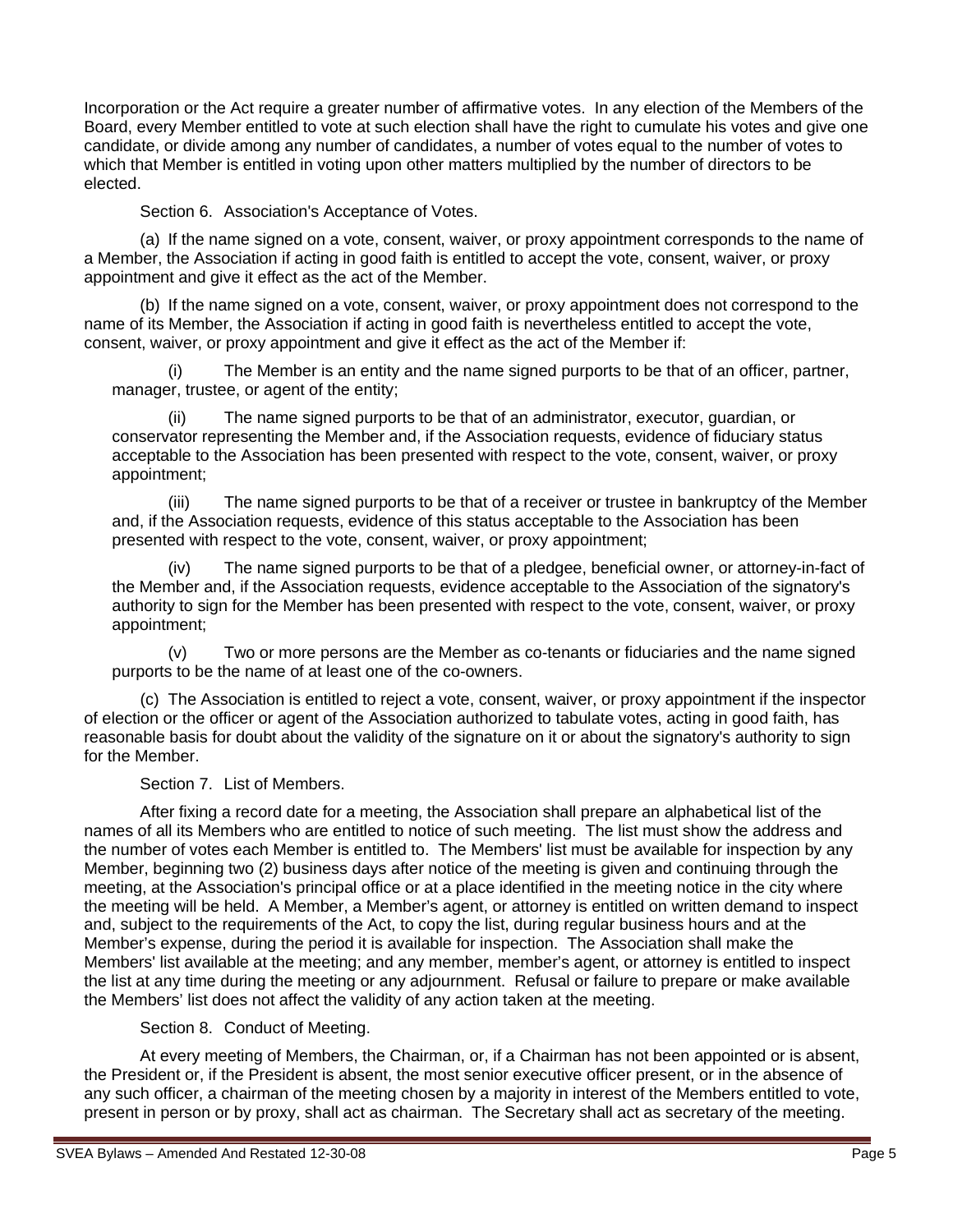Incorporation or the Act require a greater number of affirmative votes. In any election of the Members of the Board, every Member entitled to vote at such election shall have the right to cumulate his votes and give one candidate, or divide among any number of candidates, a number of votes equal to the number of votes to which that Member is entitled in voting upon other matters multiplied by the number of directors to be elected.

Section 6. Association's Acceptance of Votes.

(a) If the name signed on a vote, consent, waiver, or proxy appointment corresponds to the name of a Member, the Association if acting in good faith is entitled to accept the vote, consent, waiver, or proxy appointment and give it effect as the act of the Member.

(b) If the name signed on a vote, consent, waiver, or proxy appointment does not correspond to the name of its Member, the Association if acting in good faith is nevertheless entitled to accept the vote, consent, waiver, or proxy appointment and give it effect as the act of the Member if:

(i) The Member is an entity and the name signed purports to be that of an officer, partner, manager, trustee, or agent of the entity;

The name signed purports to be that of an administrator, executor, guardian, or conservator representing the Member and, if the Association requests, evidence of fiduciary status acceptable to the Association has been presented with respect to the vote, consent, waiver, or proxy appointment;

(iii) The name signed purports to be that of a receiver or trustee in bankruptcy of the Member and, if the Association requests, evidence of this status acceptable to the Association has been presented with respect to the vote, consent, waiver, or proxy appointment;

(iv) The name signed purports to be that of a pledgee, beneficial owner, or attorney-in-fact of the Member and, if the Association requests, evidence acceptable to the Association of the signatory's authority to sign for the Member has been presented with respect to the vote, consent, waiver, or proxy appointment;

(v) Two or more persons are the Member as co-tenants or fiduciaries and the name signed purports to be the name of at least one of the co-owners.

(c) The Association is entitled to reject a vote, consent, waiver, or proxy appointment if the inspector of election or the officer or agent of the Association authorized to tabulate votes, acting in good faith, has reasonable basis for doubt about the validity of the signature on it or about the signatory's authority to sign for the Member.

Section 7. List of Members.

After fixing a record date for a meeting, the Association shall prepare an alphabetical list of the names of all its Members who are entitled to notice of such meeting. The list must show the address and the number of votes each Member is entitled to. The Members' list must be available for inspection by any Member, beginning two (2) business days after notice of the meeting is given and continuing through the meeting, at the Association's principal office or at a place identified in the meeting notice in the city where the meeting will be held. A Member, a Member's agent, or attorney is entitled on written demand to inspect and, subject to the requirements of the Act, to copy the list, during regular business hours and at the Member's expense, during the period it is available for inspection. The Association shall make the Members' list available at the meeting; and any member, member's agent, or attorney is entitled to inspect the list at any time during the meeting or any adjournment. Refusal or failure to prepare or make available the Members' list does not affect the validity of any action taken at the meeting.

Section 8. Conduct of Meeting.

At every meeting of Members, the Chairman, or, if a Chairman has not been appointed or is absent, the President or, if the President is absent, the most senior executive officer present, or in the absence of any such officer, a chairman of the meeting chosen by a majority in interest of the Members entitled to vote, present in person or by proxy, shall act as chairman. The Secretary shall act as secretary of the meeting.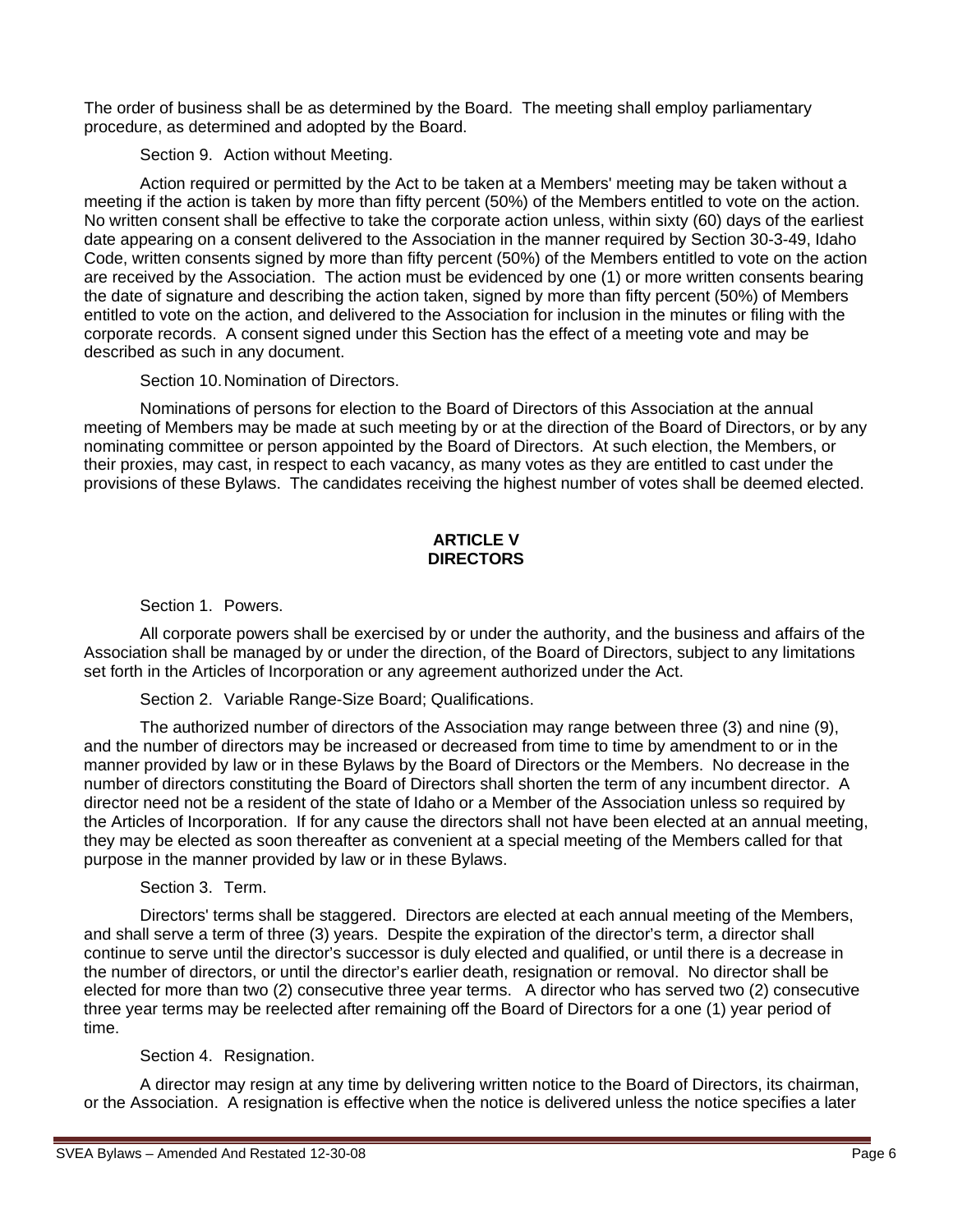The order of business shall be as determined by the Board. The meeting shall employ parliamentary procedure, as determined and adopted by the Board.

Section 9. Action without Meeting.

Action required or permitted by the Act to be taken at a Members' meeting may be taken without a meeting if the action is taken by more than fifty percent (50%) of the Members entitled to vote on the action. No written consent shall be effective to take the corporate action unless, within sixty (60) days of the earliest date appearing on a consent delivered to the Association in the manner required by Section 30-3-49, Idaho Code, written consents signed by more than fifty percent (50%) of the Members entitled to vote on the action are received by the Association. The action must be evidenced by one (1) or more written consents bearing the date of signature and describing the action taken, signed by more than fifty percent (50%) of Members entitled to vote on the action, and delivered to the Association for inclusion in the minutes or filing with the corporate records. A consent signed under this Section has the effect of a meeting vote and may be described as such in any document.

Section 10.Nomination of Directors.

Nominations of persons for election to the Board of Directors of this Association at the annual meeting of Members may be made at such meeting by or at the direction of the Board of Directors, or by any nominating committee or person appointed by the Board of Directors. At such election, the Members, or their proxies, may cast, in respect to each vacancy, as many votes as they are entitled to cast under the provisions of these Bylaws. The candidates receiving the highest number of votes shall be deemed elected.

# **ARTICLE V DIRECTORS**

Section 1. Powers.

All corporate powers shall be exercised by or under the authority, and the business and affairs of the Association shall be managed by or under the direction, of the Board of Directors, subject to any limitations set forth in the Articles of Incorporation or any agreement authorized under the Act.

Section 2. Variable Range-Size Board; Qualifications.

The authorized number of directors of the Association may range between three (3) and nine (9), and the number of directors may be increased or decreased from time to time by amendment to or in the manner provided by law or in these Bylaws by the Board of Directors or the Members. No decrease in the number of directors constituting the Board of Directors shall shorten the term of any incumbent director. A director need not be a resident of the state of Idaho or a Member of the Association unless so required by the Articles of Incorporation. If for any cause the directors shall not have been elected at an annual meeting, they may be elected as soon thereafter as convenient at a special meeting of the Members called for that purpose in the manner provided by law or in these Bylaws.

Section 3. Term.

Directors' terms shall be staggered. Directors are elected at each annual meeting of the Members, and shall serve a term of three (3) years. Despite the expiration of the director's term, a director shall continue to serve until the director's successor is duly elected and qualified, or until there is a decrease in the number of directors, or until the director's earlier death, resignation or removal. No director shall be elected for more than two (2) consecutive three year terms. A director who has served two (2) consecutive three year terms may be reelected after remaining off the Board of Directors for a one (1) year period of time.

Section 4. Resignation.

A director may resign at any time by delivering written notice to the Board of Directors, its chairman, or the Association. A resignation is effective when the notice is delivered unless the notice specifies a later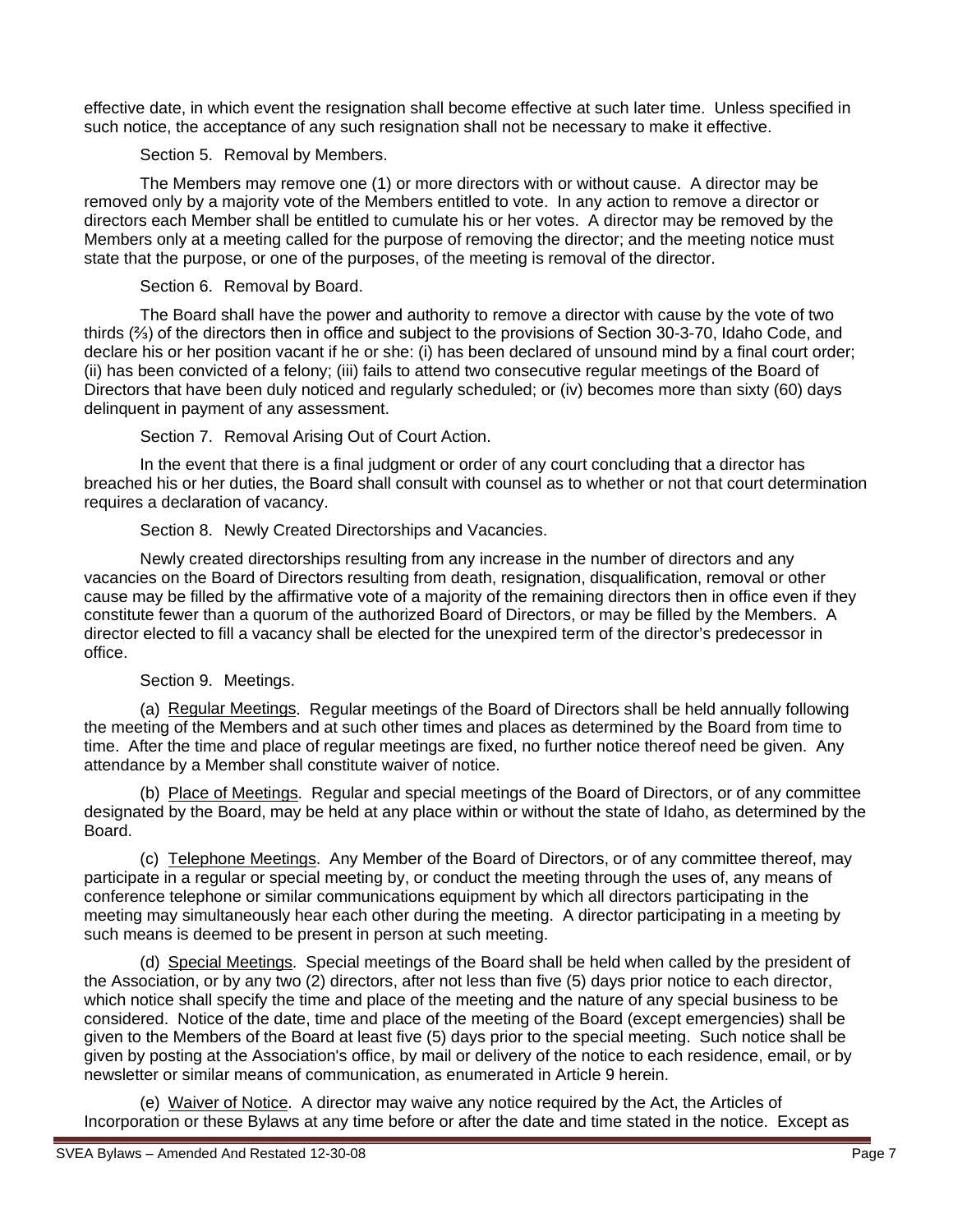effective date, in which event the resignation shall become effective at such later time. Unless specified in such notice, the acceptance of any such resignation shall not be necessary to make it effective.

Section 5. Removal by Members.

The Members may remove one (1) or more directors with or without cause. A director may be removed only by a majority vote of the Members entitled to vote. In any action to remove a director or directors each Member shall be entitled to cumulate his or her votes. A director may be removed by the Members only at a meeting called for the purpose of removing the director; and the meeting notice must state that the purpose, or one of the purposes, of the meeting is removal of the director.

Section 6. Removal by Board.

The Board shall have the power and authority to remove a director with cause by the vote of two thirds (⅔) of the directors then in office and subject to the provisions of Section 30-3-70, Idaho Code, and declare his or her position vacant if he or she: (i) has been declared of unsound mind by a final court order; (ii) has been convicted of a felony; (iii) fails to attend two consecutive regular meetings of the Board of Directors that have been duly noticed and regularly scheduled; or (iv) becomes more than sixty (60) days delinquent in payment of any assessment.

Section 7. Removal Arising Out of Court Action.

In the event that there is a final judgment or order of any court concluding that a director has breached his or her duties, the Board shall consult with counsel as to whether or not that court determination requires a declaration of vacancy.

Section 8. Newly Created Directorships and Vacancies.

Newly created directorships resulting from any increase in the number of directors and any vacancies on the Board of Directors resulting from death, resignation, disqualification, removal or other cause may be filled by the affirmative vote of a majority of the remaining directors then in office even if they constitute fewer than a quorum of the authorized Board of Directors, or may be filled by the Members. A director elected to fill a vacancy shall be elected for the unexpired term of the director's predecessor in office.

# Section 9. Meetings.

(a) Regular Meetings. Regular meetings of the Board of Directors shall be held annually following the meeting of the Members and at such other times and places as determined by the Board from time to time. After the time and place of regular meetings are fixed, no further notice thereof need be given. Any attendance by a Member shall constitute waiver of notice.

(b) **Place of Meetings**. Regular and special meetings of the Board of Directors, or of any committee designated by the Board, may be held at any place within or without the state of Idaho, as determined by the Board.

(c) Telephone Meetings. Any Member of the Board of Directors, or of any committee thereof, may participate in a regular or special meeting by, or conduct the meeting through the uses of, any means of conference telephone or similar communications equipment by which all directors participating in the meeting may simultaneously hear each other during the meeting. A director participating in a meeting by such means is deemed to be present in person at such meeting.

(d) Special Meetings. Special meetings of the Board shall be held when called by the president of the Association, or by any two (2) directors, after not less than five (5) days prior notice to each director, which notice shall specify the time and place of the meeting and the nature of any special business to be considered. Notice of the date, time and place of the meeting of the Board (except emergencies) shall be given to the Members of the Board at least five (5) days prior to the special meeting. Such notice shall be given by posting at the Association's office, by mail or delivery of the notice to each residence, email, or by newsletter or similar means of communication, as enumerated in Article 9 herein.

(e) Waiver of Notice. A director may waive any notice required by the Act, the Articles of Incorporation or these Bylaws at any time before or after the date and time stated in the notice. Except as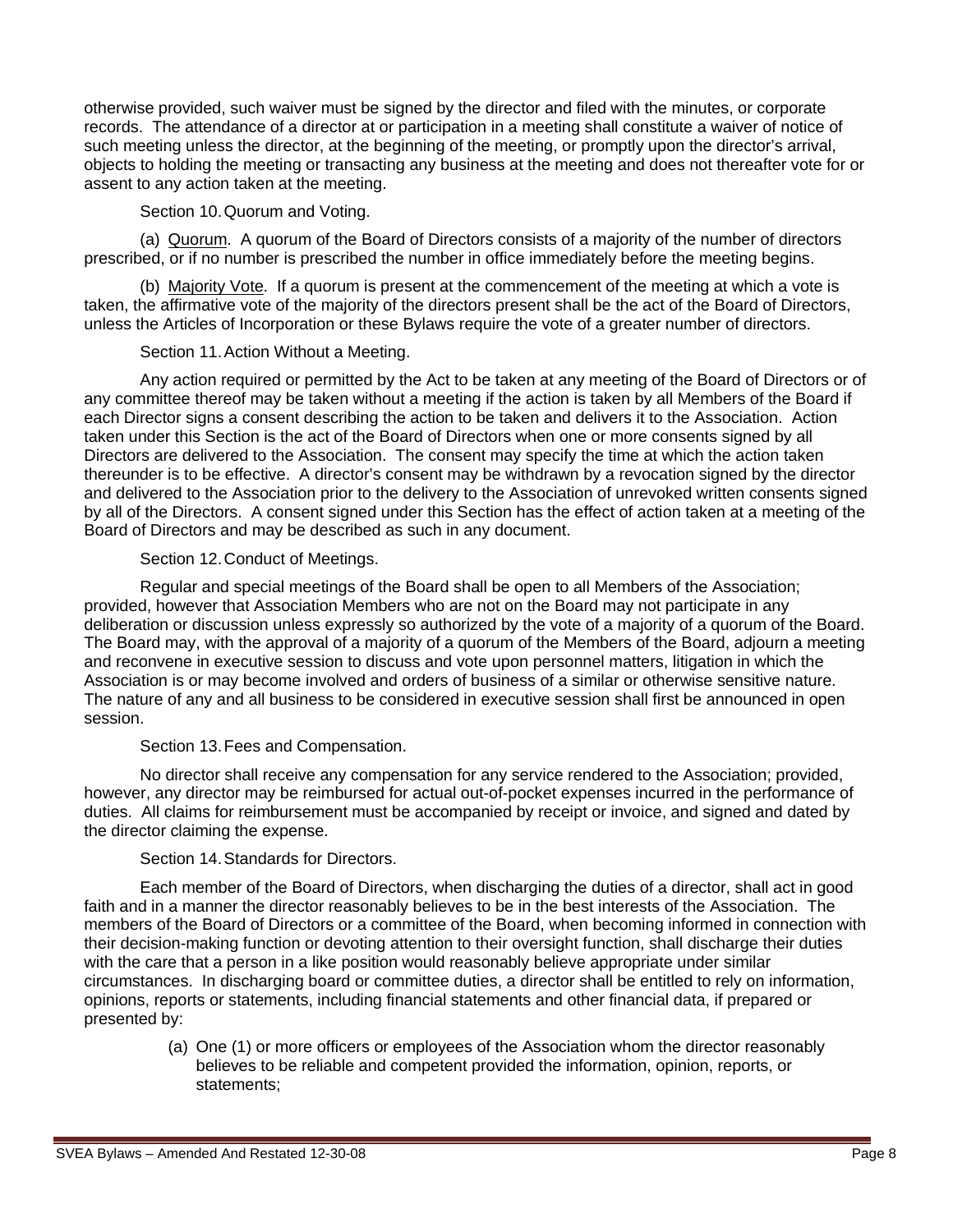otherwise provided, such waiver must be signed by the director and filed with the minutes, or corporate records. The attendance of a director at or participation in a meeting shall constitute a waiver of notice of such meeting unless the director, at the beginning of the meeting, or promptly upon the director's arrival, objects to holding the meeting or transacting any business at the meeting and does not thereafter vote for or assent to any action taken at the meeting.

Section 10.Quorum and Voting.

(a) Quorum. A quorum of the Board of Directors consists of a majority of the number of directors prescribed, or if no number is prescribed the number in office immediately before the meeting begins.

(b) Majority Vote. If a quorum is present at the commencement of the meeting at which a vote is taken, the affirmative vote of the majority of the directors present shall be the act of the Board of Directors, unless the Articles of Incorporation or these Bylaws require the vote of a greater number of directors.

Section 11.Action Without a Meeting.

Any action required or permitted by the Act to be taken at any meeting of the Board of Directors or of any committee thereof may be taken without a meeting if the action is taken by all Members of the Board if each Director signs a consent describing the action to be taken and delivers it to the Association. Action taken under this Section is the act of the Board of Directors when one or more consents signed by all Directors are delivered to the Association. The consent may specify the time at which the action taken thereunder is to be effective. A director's consent may be withdrawn by a revocation signed by the director and delivered to the Association prior to the delivery to the Association of unrevoked written consents signed by all of the Directors. A consent signed under this Section has the effect of action taken at a meeting of the Board of Directors and may be described as such in any document.

Section 12.Conduct of Meetings.

Regular and special meetings of the Board shall be open to all Members of the Association; provided, however that Association Members who are not on the Board may not participate in any deliberation or discussion unless expressly so authorized by the vote of a majority of a quorum of the Board. The Board may, with the approval of a majority of a quorum of the Members of the Board, adjourn a meeting and reconvene in executive session to discuss and vote upon personnel matters, litigation in which the Association is or may become involved and orders of business of a similar or otherwise sensitive nature. The nature of any and all business to be considered in executive session shall first be announced in open session.

# Section 13.Fees and Compensation.

No director shall receive any compensation for any service rendered to the Association; provided, however, any director may be reimbursed for actual out-of-pocket expenses incurred in the performance of duties. All claims for reimbursement must be accompanied by receipt or invoice, and signed and dated by the director claiming the expense.

# Section 14.Standards for Directors.

Each member of the Board of Directors, when discharging the duties of a director, shall act in good faith and in a manner the director reasonably believes to be in the best interests of the Association. The members of the Board of Directors or a committee of the Board, when becoming informed in connection with their decision-making function or devoting attention to their oversight function, shall discharge their duties with the care that a person in a like position would reasonably believe appropriate under similar circumstances. In discharging board or committee duties, a director shall be entitled to rely on information, opinions, reports or statements, including financial statements and other financial data, if prepared or presented by:

> (a) One (1) or more officers or employees of the Association whom the director reasonably believes to be reliable and competent provided the information, opinion, reports, or statements;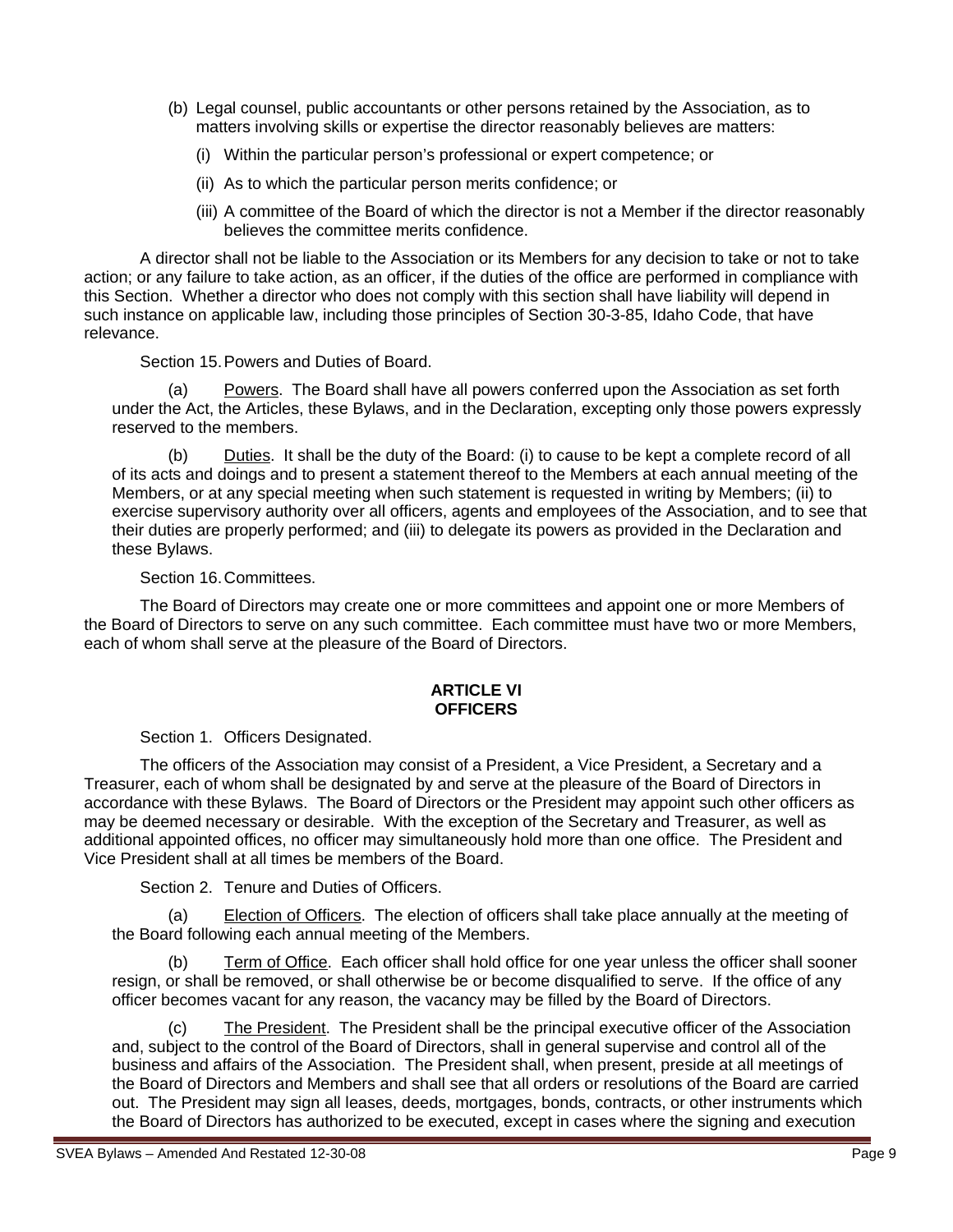- (b) Legal counsel, public accountants or other persons retained by the Association, as to matters involving skills or expertise the director reasonably believes are matters:
	- (i) Within the particular person's professional or expert competence; or
	- (ii) As to which the particular person merits confidence; or
	- (iii) A committee of the Board of which the director is not a Member if the director reasonably believes the committee merits confidence.

A director shall not be liable to the Association or its Members for any decision to take or not to take action; or any failure to take action, as an officer, if the duties of the office are performed in compliance with this Section. Whether a director who does not comply with this section shall have liability will depend in such instance on applicable law, including those principles of Section 30-3-85, Idaho Code, that have relevance.

Section 15.Powers and Duties of Board.

(a) Powers. The Board shall have all powers conferred upon the Association as set forth under the Act, the Articles, these Bylaws, and in the Declaration, excepting only those powers expressly reserved to the members.

(b) Duties . It shall be the duty of the Board: (i) to cause to be kept a complete record of all of its acts and doings and to present a statement thereof to the Members at each annual meeting of the Members, or at any special meeting when such statement is requested in writing by Members; (ii) to exercise supervisory authority over all officers, agents and employees of the Association, and to see that their duties are properly performed; and (iii) to delegate its powers as provided in the Declaration and these Bylaws.

## Section 16.Committees.

The Board of Directors may create one or more committees and appoint one or more Members of the Board of Directors to serve on any such committee. Each committee must have two or more Members, each of whom shall serve at the pleasure of the Board of Directors.

#### **ARTICLE VI OFFICERS**

Section 1. Officers Designated.

The officers of the Association may consist of a President, a Vice President, a Secretary and a Treasurer, each of whom shall be designated by and serve at the pleasure of the Board of Directors in accordance with these Bylaws. The Board of Directors or the President may appoint such other officers as may be deemed necessary or desirable. With the exception of the Secretary and Treasurer, as well as additional appointed offices, no officer may simultaneously hold more than one office. The President and Vice President shall at all times be members of the Board.

Section 2. Tenure and Duties of Officers.

(a) Election of Officers. The election of officers shall take place annually at the meeting of the Board following each annual meeting of the Members.

(b) Term of Office. Each officer shall hold office for one year unless the officer shall sooner resign, or shall be removed, or shall otherwise be or become disqualified to serve. If the office of any officer becomes vacant for any reason, the vacancy may be filled by the Board of Directors.

(c) The President. The President shall be the principal executive officer of the Association and, subject to the control of the Board of Directors, shall in general supervise and control all of the business and affairs of the Association. The President shall, when present, preside at all meetings of the Board of Directors and Members and shall see that all orders or resolutions of the Board are carried out. The President may sign all leases, deeds, mortgages, bonds, contracts, or other instruments which the Board of Directors has authorized to be executed, except in cases where the signing and execution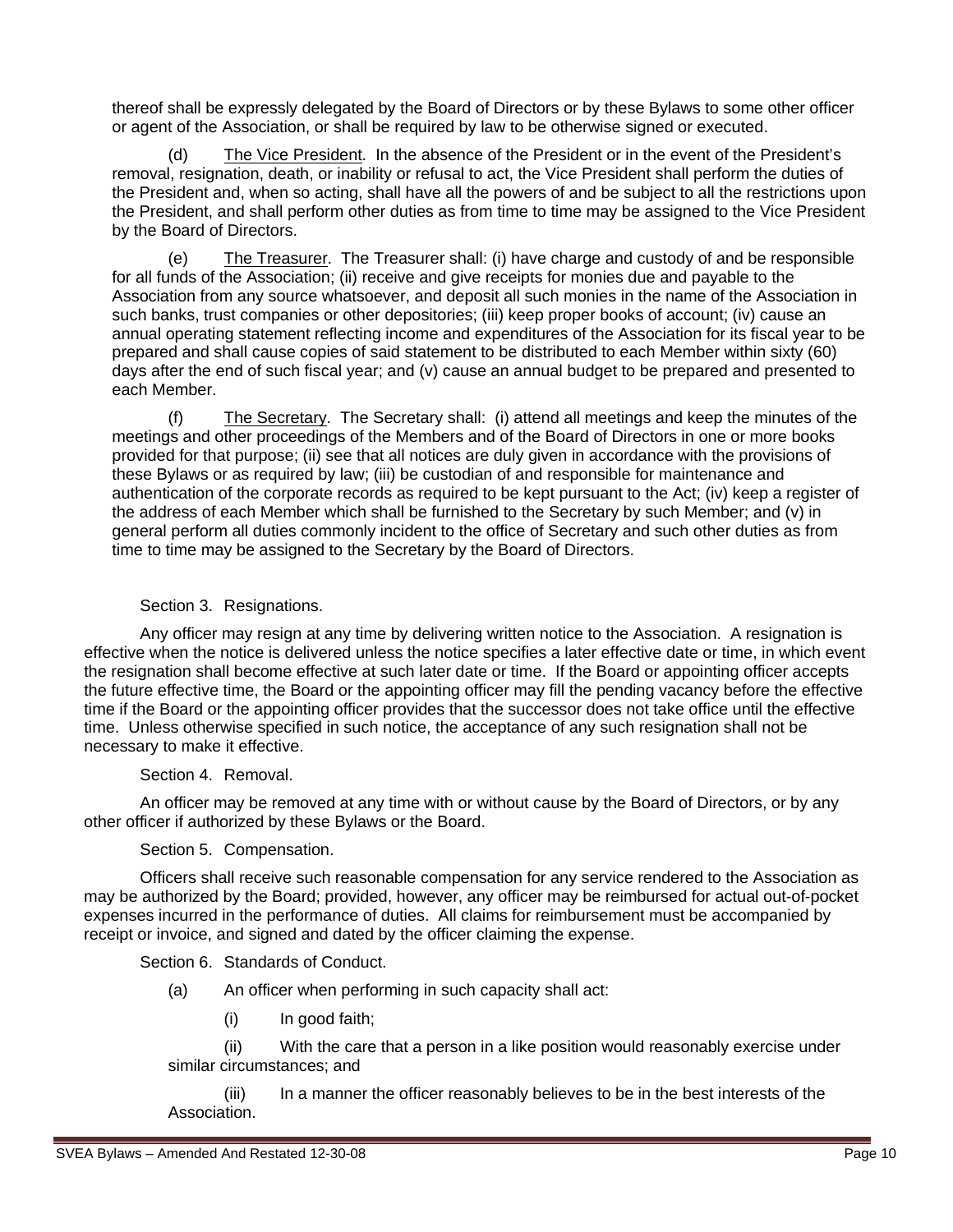thereof shall be expressly delegated by the Board of Directors or by these Bylaws to some other officer or agent of the Association, or shall be required by law to be otherwise signed or executed.

(d) The Vice President. In the absence of the President or in the event of the President's removal, resignation, death, or inability or refusal to act, the Vice President shall perform the duties of the President and, when so acting, shall have all the powers of and be subject to all the restrictions upon the President, and shall perform other duties as from time to time may be assigned to the Vice President by the Board of Directors.

(e) The Treasurer. The Treasurer shall: (i) have charge and custody of and be responsible for all funds of the Association; (ii) receive and give receipts for monies due and payable to the Association from any source whatsoever, and deposit all such monies in the name of the Association in such banks, trust companies or other depositories; (iii) keep proper books of account; (iv) cause an annual operating statement reflecting income and expenditures of the Association for its fiscal year to be prepared and shall cause copies of said statement to be distributed to each Member within sixty (60) days after the end of such fiscal year; and (v) cause an annual budget to be prepared and presented to each Member.

(f) The Secretary. The Secretary shall: (i) attend all meetings and keep the minutes of the meetings and other proceedings of the Members and of the Board of Directors in one or more books provided for that purpose; (ii) see that all notices are duly given in accordance with the provisions of these Bylaws or as required by law; (iii) be custodian of and responsible for maintenance and authentication of the corporate records as required to be kept pursuant to the Act; (iv) keep a register of the address of each Member which shall be furnished to the Secretary by such Member; and (v) in general perform all duties commonly incident to the office of Secretary and such other duties as from time to time may be assigned to the Secretary by the Board of Directors.

## Section 3. Resignations.

Any officer may resign at any time by delivering written notice to the Association. A resignation is effective when the notice is delivered unless the notice specifies a later effective date or time, in which event the resignation shall become effective at such later date or time. If the Board or appointing officer accepts the future effective time, the Board or the appointing officer may fill the pending vacancy before the effective time if the Board or the appointing officer provides that the successor does not take office until the effective time. Unless otherwise specified in such notice, the acceptance of any such resignation shall not be necessary to make it effective.

# Section 4. Removal.

An officer may be removed at any time with or without cause by the Board of Directors, or by any other officer if authorized by these Bylaws or the Board.

# Section 5. Compensation.

Officers shall receive such reasonable compensation for any service rendered to the Association as may be authorized by the Board; provided, however, any officer may be reimbursed for actual out-of-pocket expenses incurred in the performance of duties. All claims for reimbursement must be accompanied by receipt or invoice, and signed and dated by the officer claiming the expense.

Section 6. Standards of Conduct.

- (a) An officer when performing in such capacity shall act:
	- (i) In good faith;

(ii) With the care that a person in a like position would reasonably exercise under similar circumstances; and

(iii) In a manner the officer reasonably believes to be in the best interests of the Association.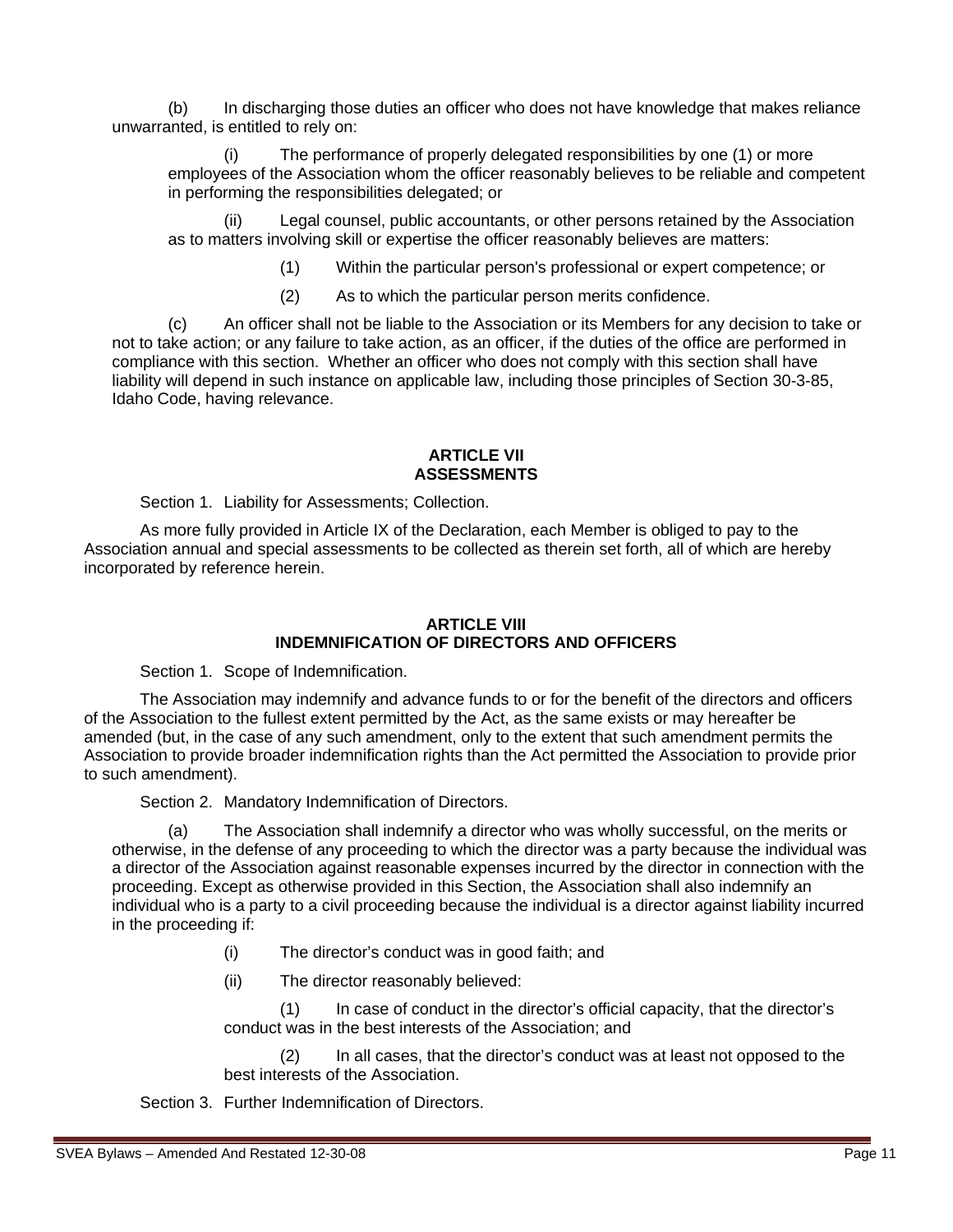(b) In discharging those duties an officer who does not have knowledge that makes reliance unwarranted, is entitled to rely on:

The performance of properly delegated responsibilities by one (1) or more employees of the Association whom the officer reasonably believes to be reliable and competent in performing the responsibilities delegated; or

Legal counsel, public accountants, or other persons retained by the Association as to matters involving skill or expertise the officer reasonably believes are matters:

(1) Within the particular person's professional or expert competence; or

(2) As to which the particular person merits confidence.

(c) An officer shall not be liable to the Association or its Members for any decision to take or not to take action; or any failure to take action, as an officer, if the duties of the office are performed in compliance with this section. Whether an officer who does not comply with this section shall have liability will depend in such instance on applicable law, including those principles of Section 30-3-85, Idaho Code, having relevance.

#### **ARTICLE VII ASSESSMENTS**

Section 1. Liability for Assessments; Collection.

As more fully provided in Article IX of the Declaration, each Member is obliged to pay to the Association annual and special assessments to be collected as therein set forth, all of which are hereby incorporated by reference herein.

## **ARTICLE VIII INDEMNIFICATION OF DIRECTORS AND OFFICERS**

Section 1. Scope of Indemnification.

The Association may indemnify and advance funds to or for the benefit of the directors and officers of the Association to the fullest extent permitted by the Act, as the same exists or may hereafter be amended (but, in the case of any such amendment, only to the extent that such amendment permits the Association to provide broader indemnification rights than the Act permitted the Association to provide prior to such amendment).

Section 2. Mandatory Indemnification of Directors.

(a) The Association shall indemnify a director who was wholly successful, on the merits or otherwise, in the defense of any proceeding to which the director was a party because the individual was a director of the Association against reasonable expenses incurred by the director in connection with the proceeding. Except as otherwise provided in this Section, the Association shall also indemnify an individual who is a party to a civil proceeding because the individual is a director against liability incurred in the proceeding if:

(i) The director's conduct was in good faith; and

(ii) The director reasonably believed:

(1) In case of conduct in the director's official capacity, that the director's conduct was in the best interests of the Association; and

(2) In all cases, that the director's conduct was at least not opposed to the best interests of the Association.

Section 3. Further Indemnification of Directors.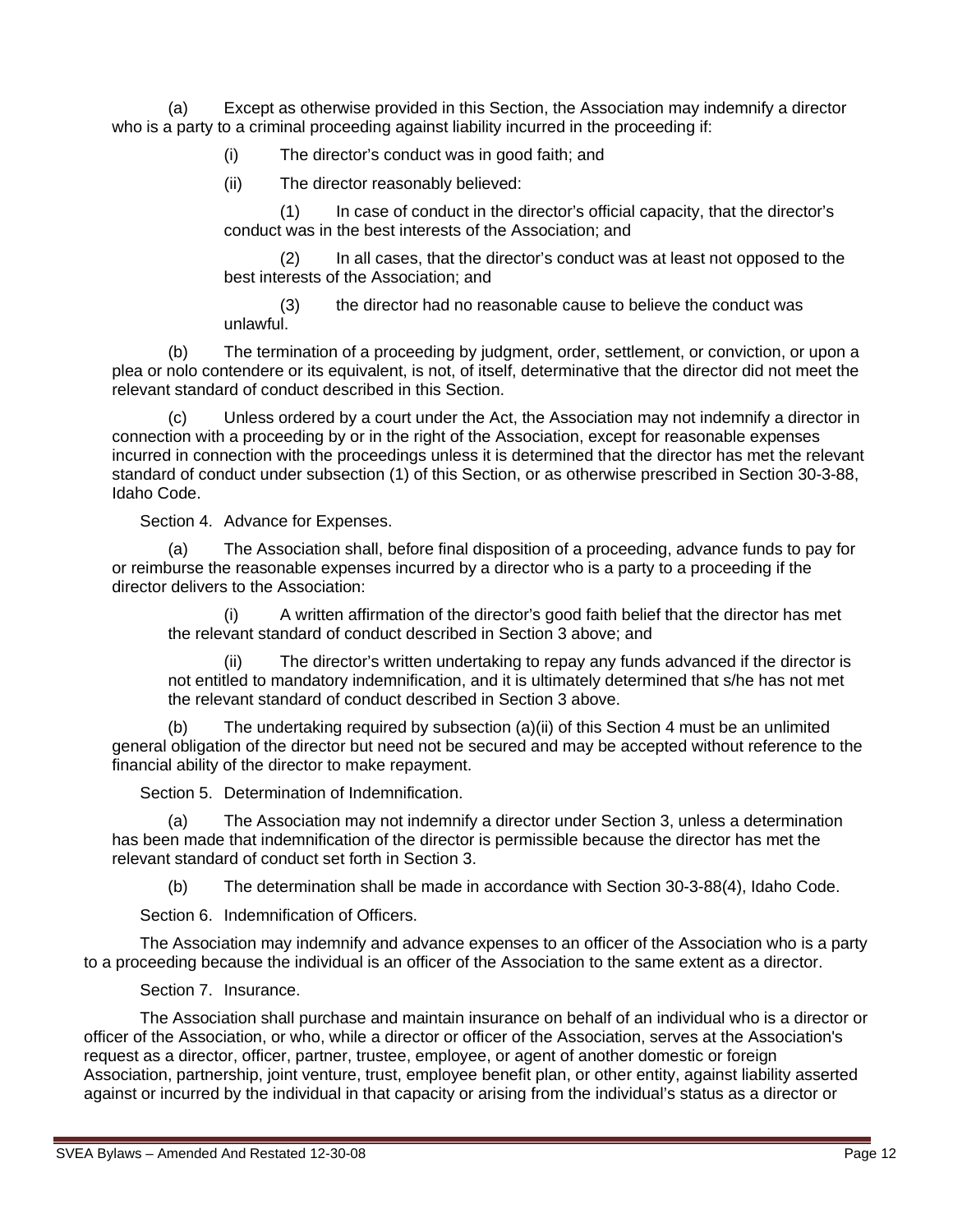(a) Except as otherwise provided in this Section, the Association may indemnify a director who is a party to a criminal proceeding against liability incurred in the proceeding if:

(i) The director's conduct was in good faith; and

(ii) The director reasonably believed:

(1) In case of conduct in the director's official capacity, that the director's conduct was in the best interests of the Association; and

(2) In all cases, that the director's conduct was at least not opposed to the best interests of the Association; and

(3) the director had no reasonable cause to believe the conduct was unlawful.

(b) The termination of a proceeding by judgment, order, settlement, or conviction, or upon a plea or nolo contendere or its equivalent, is not, of itself, determinative that the director did not meet the relevant standard of conduct described in this Section.

Unless ordered by a court under the Act, the Association may not indemnify a director in connection with a proceeding by or in the right of the Association, except for reasonable expenses incurred in connection with the proceedings unless it is determined that the director has met the relevant standard of conduct under subsection (1) of this Section, or as otherwise prescribed in Section 30-3-88, Idaho Code.

Section 4. Advance for Expenses.

The Association shall, before final disposition of a proceeding, advance funds to pay for or reimburse the reasonable expenses incurred by a director who is a party to a proceeding if the director delivers to the Association:

A written affirmation of the director's good faith belief that the director has met the relevant standard of conduct described in Section 3 above; and

(ii) The director's written undertaking to repay any funds advanced if the director is not entitled to mandatory indemnification, and it is ultimately determined that s/he has not met the relevant standard of conduct described in Section 3 above.

(b) The undertaking required by subsection (a)(ii) of this Section 4 must be an unlimited general obligation of the director but need not be secured and may be accepted without reference to the financial ability of the director to make repayment.

Section 5. Determination of Indemnification.

(a) The Association may not indemnify a director under Section 3, unless a determination has been made that indemnification of the director is permissible because the director has met the relevant standard of conduct set forth in Section 3.

(b) The determination shall be made in accordance with Section 30-3-88(4), Idaho Code.

Section 6. Indemnification of Officers.

The Association may indemnify and advance expenses to an officer of the Association who is a party to a proceeding because the individual is an officer of the Association to the same extent as a director.

Section 7. Insurance.

The Association shall purchase and maintain insurance on behalf of an individual who is a director or officer of the Association, or who, while a director or officer of the Association, serves at the Association's request as a director, officer, partner, trustee, employee, or agent of another domestic or foreign Association, partnership, joint venture, trust, employee benefit plan, or other entity, against liability asserted against or incurred by the individual in that capacity or arising from the individual's status as a director or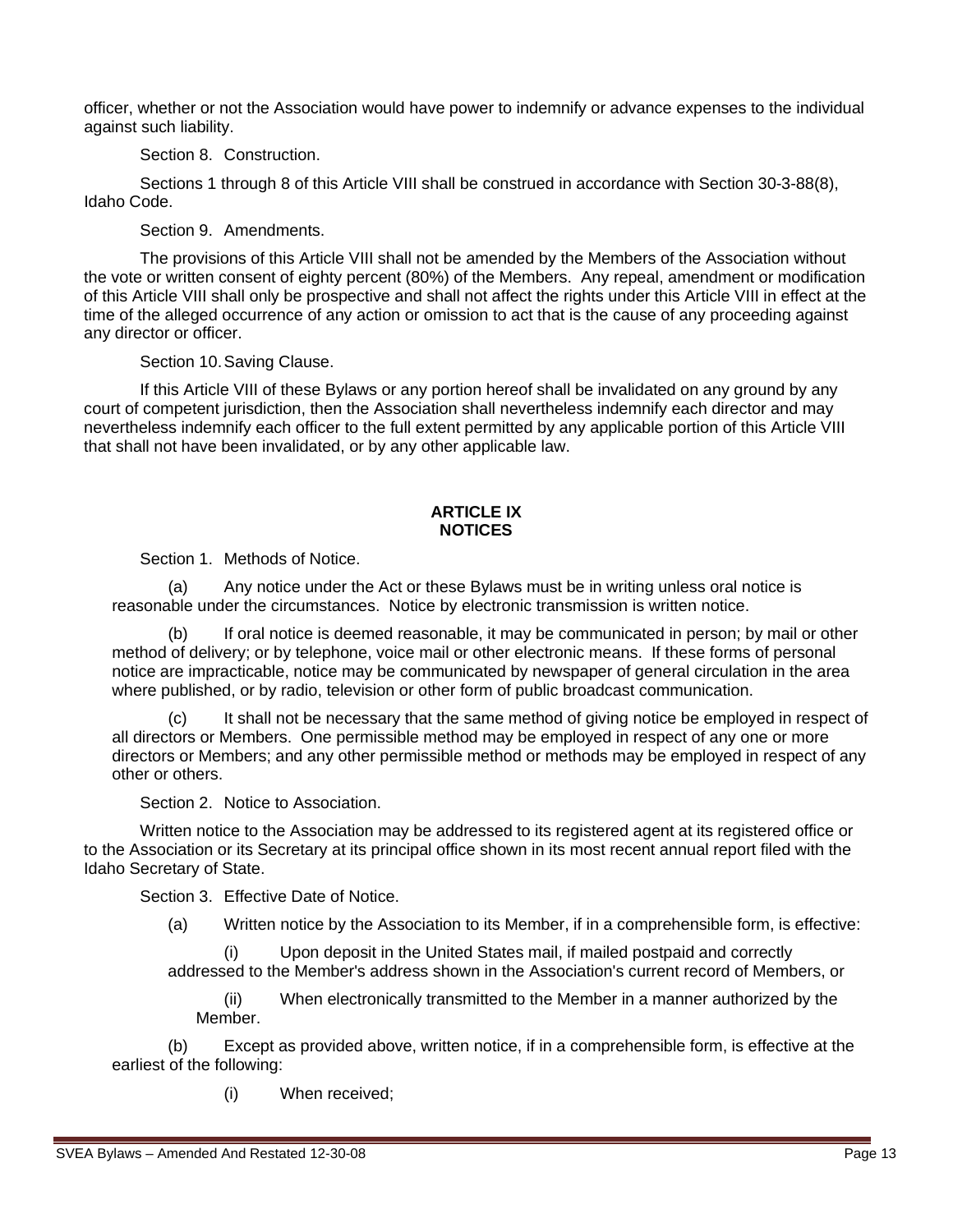officer, whether or not the Association would have power to indemnify or advance expenses to the individual against such liability.

Section 8. Construction.

Sections 1 through 8 of this Article VIII shall be construed in accordance with Section 30-3-88(8), Idaho Code.

Section 9. Amendments.

The provisions of this Article VIII shall not be amended by the Members of the Association without the vote or written consent of eighty percent (80%) of the Members. Any repeal, amendment or modification of this Article VIII shall only be prospective and shall not affect the rights under this Article VIII in effect at the time of the alleged occurrence of any action or omission to act that is the cause of any proceeding against any director or officer.

Section 10.Saving Clause.

If this Article VIII of these Bylaws or any portion hereof shall be invalidated on any ground by any court of competent jurisdiction, then the Association shall nevertheless indemnify each director and may nevertheless indemnify each officer to the full extent permitted by any applicable portion of this Article VIII that shall not have been invalidated, or by any other applicable law.

### **ARTICLE IX NOTICES**

Section 1. Methods of Notice.

(a) Any notice under the Act or these Bylaws must be in writing unless oral notice is reasonable under the circumstances. Notice by electronic transmission is written notice.

(b) If oral notice is deemed reasonable, it may be communicated in person; by mail or other method of delivery; or by telephone, voice mail or other electronic means. If these forms of personal notice are impracticable, notice may be communicated by newspaper of general circulation in the area where published, or by radio, television or other form of public broadcast communication.

It shall not be necessary that the same method of giving notice be employed in respect of all directors or Members. One permissible method may be employed in respect of any one or more directors or Members; and any other permissible method or methods may be employed in respect of any other or others.

Section 2. Notice to Association.

Written notice to the Association may be addressed to its registered agent at its registered office or to the Association or its Secretary at its principal office shown in its most recent annual report filed with the Idaho Secretary of State.

Section 3. Effective Date of Notice.

(a) Written notice by the Association to its Member, if in a comprehensible form, is effective:

Upon deposit in the United States mail, if mailed postpaid and correctly addressed to the Member's address shown in the Association's current record of Members, or

(ii) When electronically transmitted to the Member in a manner authorized by the Member.

(b) Except as provided above, written notice, if in a comprehensible form, is effective at the earliest of the following:

(i) When received;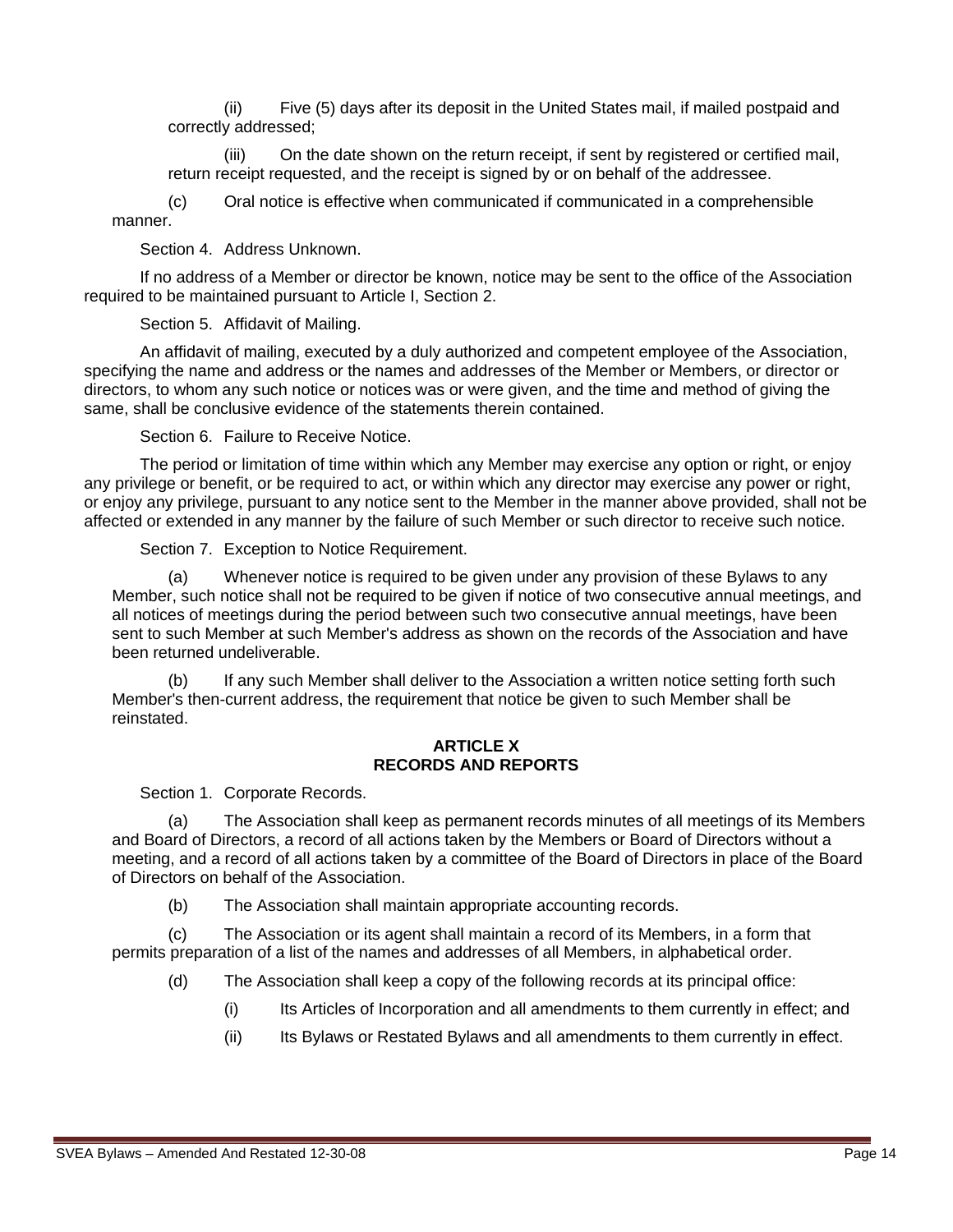(ii) Five (5) days after its deposit in the United States mail, if mailed postpaid and correctly addressed;

(iii) On the date shown on the return receipt, if sent by registered or certified mail, return receipt requested, and the receipt is signed by or on behalf of the addressee.

(c) Oral notice is effective when communicated if communicated in a comprehensible manner.

Section 4. Address Unknown.

If no address of a Member or director be known, notice may be sent to the office of the Association required to be maintained pursuant to Article I, Section 2.

Section 5. Affidavit of Mailing.

An affidavit of mailing, executed by a duly authorized and competent employee of the Association, specifying the name and address or the names and addresses of the Member or Members, or director or directors, to whom any such notice or notices was or were given, and the time and method of giving the same, shall be conclusive evidence of the statements therein contained.

Section 6. Failure to Receive Notice.

The period or limitation of time within which any Member may exercise any option or right, or enjoy any privilege or benefit, or be required to act, or within which any director may exercise any power or right, or enjoy any privilege, pursuant to any notice sent to the Member in the manner above provided, shall not be affected or extended in any manner by the failure of such Member or such director to receive such notice.

Section 7. Exception to Notice Requirement.

(a) Whenever notice is required to be given under any provision of these Bylaws to any Member, such notice shall not be required to be given if notice of two consecutive annual meetings, and all notices of meetings during the period between such two consecutive annual meetings, have been sent to such Member at such Member's address as shown on the records of the Association and have been returned undeliverable.

(b) If any such Member shall deliver to the Association a written notice setting forth such Member's then-current address, the requirement that notice be given to such Member shall be reinstated.

#### **ARTICLE X RECORDS AND REPORTS**

Section 1. Corporate Records.

(a) The Association shall keep as permanent records minutes of all meetings of its Members and Board of Directors, a record of all actions taken by the Members or Board of Directors without a meeting, and a record of all actions taken by a committee of the Board of Directors in place of the Board of Directors on behalf of the Association.

(b) The Association shall maintain appropriate accounting records.

(c) The Association or its agent shall maintain a record of its Members, in a form that permits preparation of a list of the names and addresses of all Members, in alphabetical order.

- (d) The Association shall keep a copy of the following records at its principal office:
	- (i) Its Articles of Incorporation and all amendments to them currently in effect; and
	- (ii) Its Bylaws or Restated Bylaws and all amendments to them currently in effect.